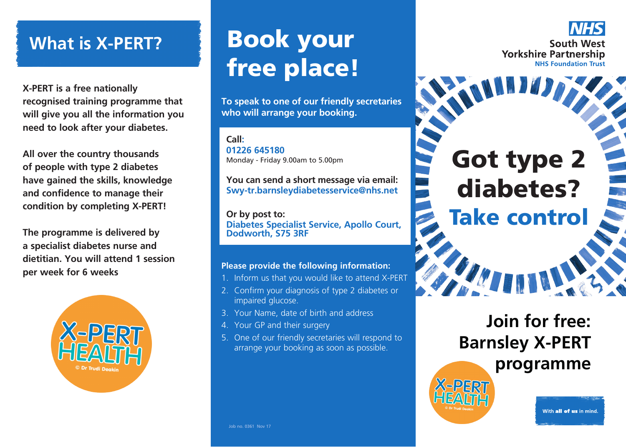**X-PERT is a free nationally recognised training programme that will give you all the information you need to look after your diabetes.**

**All over the country thousands of people with type 2 diabetes have gained the skills, knowledge and confidence to manage their condition by completing X-PERT!**

**The programme is delivered by a specialist diabetes nurse and dietitian. You will attend 1 session**  per week for 6 weeks



# What is X-PERT? **Book your** free place!

**To speak to one of our friendly secretaries who will arrange your booking.**

**Call: 01226 645180** Monday - Friday 9.00am to 5.00pm

**You can send a short message via email: Swy-tr.barnsleydiabetesservice@nhs.net**

**Or by post to: Diabetes Specialist Service, Apollo Court, Dodworth, S75 3RF**

## **Please provide the following information:**

- 1. Inform us that you would like to attend X-PERT
- 2. Confirm your diagnosis of type 2 diabetes or impaired glucose.
- 3. Your Name, date of birth and address
- 4. Your GP and their surgery
- 5. One of our friendly secretaries will respond to arrange your booking as soon as possible.



# Got type 2 diabetes? Take control

## **Join for free: Barnsley X-PERT programme**